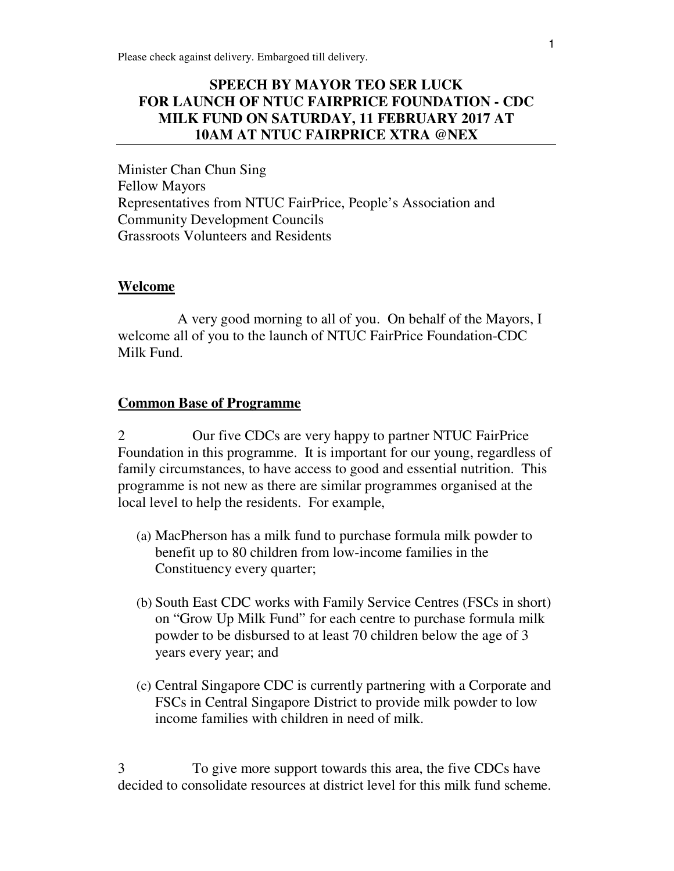# **SPEECH BY MAYOR TEO SER LUCK FOR LAUNCH OF NTUC FAIRPRICE FOUNDATION - CDC MILK FUND ON SATURDAY, 11 FEBRUARY 2017 AT 10AM AT NTUC FAIRPRICE XTRA @NEX**

Minister Chan Chun Sing Fellow Mayors Representatives from NTUC FairPrice, People's Association and Community Development Councils Grassroots Volunteers and Residents

#### **Welcome**

 A very good morning to all of you. On behalf of the Mayors, I welcome all of you to the launch of NTUC FairPrice Foundation-CDC Milk Fund.

#### **Common Base of Programme**

2 Our five CDCs are very happy to partner NTUC FairPrice Foundation in this programme. It is important for our young, regardless of family circumstances, to have access to good and essential nutrition. This programme is not new as there are similar programmes organised at the local level to help the residents. For example,

- (a) MacPherson has a milk fund to purchase formula milk powder to benefit up to 80 children from low-income families in the Constituency every quarter;
- (b) South East CDC works with Family Service Centres (FSCs in short) on "Grow Up Milk Fund" for each centre to purchase formula milk powder to be disbursed to at least 70 children below the age of 3 years every year; and
- (c) Central Singapore CDC is currently partnering with a Corporate and FSCs in Central Singapore District to provide milk powder to low income families with children in need of milk.

3 To give more support towards this area, the five CDCs have decided to consolidate resources at district level for this milk fund scheme.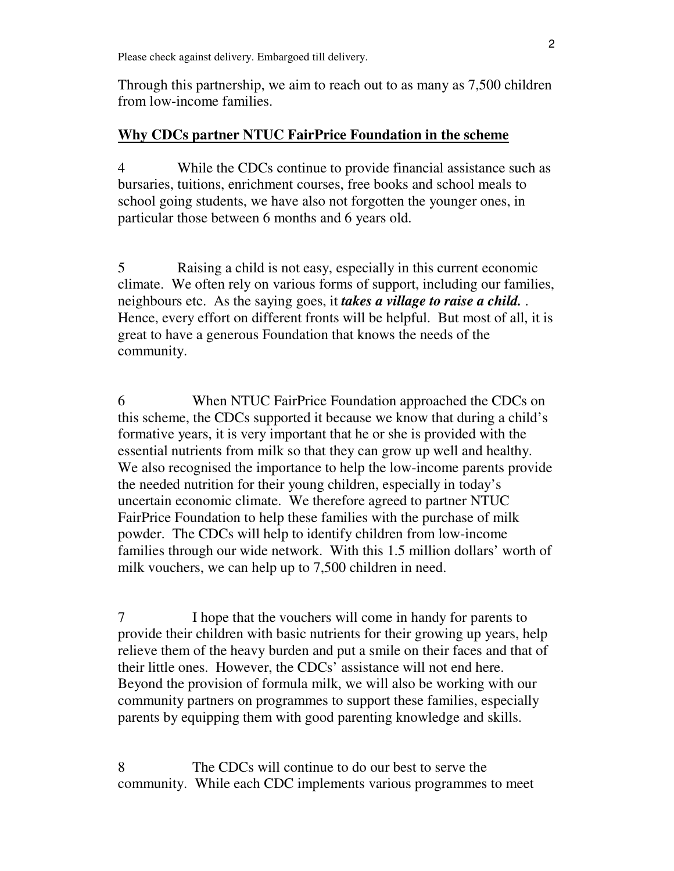Through this partnership, we aim to reach out to as many as 7,500 children from low-income families.

### **Why CDCs partner NTUC FairPrice Foundation in the scheme**

4 While the CDCs continue to provide financial assistance such as bursaries, tuitions, enrichment courses, free books and school meals to school going students, we have also not forgotten the younger ones, in particular those between 6 months and 6 years old.

5 Raising a child is not easy, especially in this current economic climate. We often rely on various forms of support, including our families, neighbours etc. As the saying goes, it *takes a village to raise a child.* . Hence, every effort on different fronts will be helpful. But most of all, it is great to have a generous Foundation that knows the needs of the community.

6 When NTUC FairPrice Foundation approached the CDCs on this scheme, the CDCs supported it because we know that during a child's formative years, it is very important that he or she is provided with the essential nutrients from milk so that they can grow up well and healthy. We also recognised the importance to help the low-income parents provide the needed nutrition for their young children, especially in today's uncertain economic climate. We therefore agreed to partner NTUC FairPrice Foundation to help these families with the purchase of milk powder. The CDCs will help to identify children from low-income families through our wide network. With this 1.5 million dollars' worth of milk vouchers, we can help up to 7,500 children in need.

7 I hope that the vouchers will come in handy for parents to provide their children with basic nutrients for their growing up years, help relieve them of the heavy burden and put a smile on their faces and that of their little ones. However, the CDCs' assistance will not end here. Beyond the provision of formula milk, we will also be working with our community partners on programmes to support these families, especially parents by equipping them with good parenting knowledge and skills.

8 The CDCs will continue to do our best to serve the community. While each CDC implements various programmes to meet